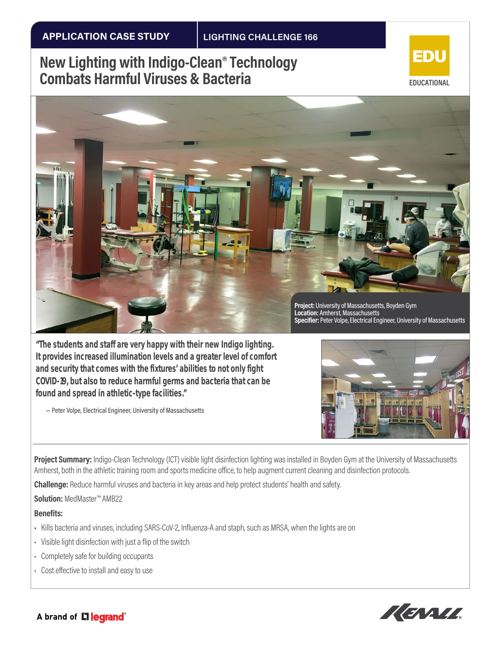## **New Lighting with Indigo-Clean® Technology Combats Harmful Viruses & Bacteria**





*"The students and staff are very happy with their new Indigo lighting. It provides increased illumination levels and a greater level of comfort and security that comes with the fixtures' abilities to not only fight COVID-19, but also to reduce harmful germs and bacteria that can be found and spread in athletic-type facilities."*

— Peter Volpe, Electrical Engineer, University of Massachusetts



**Project Summary:** Indigo-Clean Technology (ICT) visible light disinfection lighting was installed in Boyden Gym at the University of Massachusetts Amherst, both in the athletic training room and sports medicine office, to help augment current cleaning and disinfection protocols.

**Challenge:** Reduce harmful viruses and bacteria in key areas and help protect students' health and safety.

**Solution:** MedMaster™ AMB22

**Benefits:** 

- Kills bacteria and viruses, including SARS-CoV-2, Influenza-A and staph, such as MRSA, when the lights are on
- Visible light disinfection with just a flip of the switch
- Completely safe for building occupants
- Cost effective to install and easy to use



## A brand of **Li egrand**®